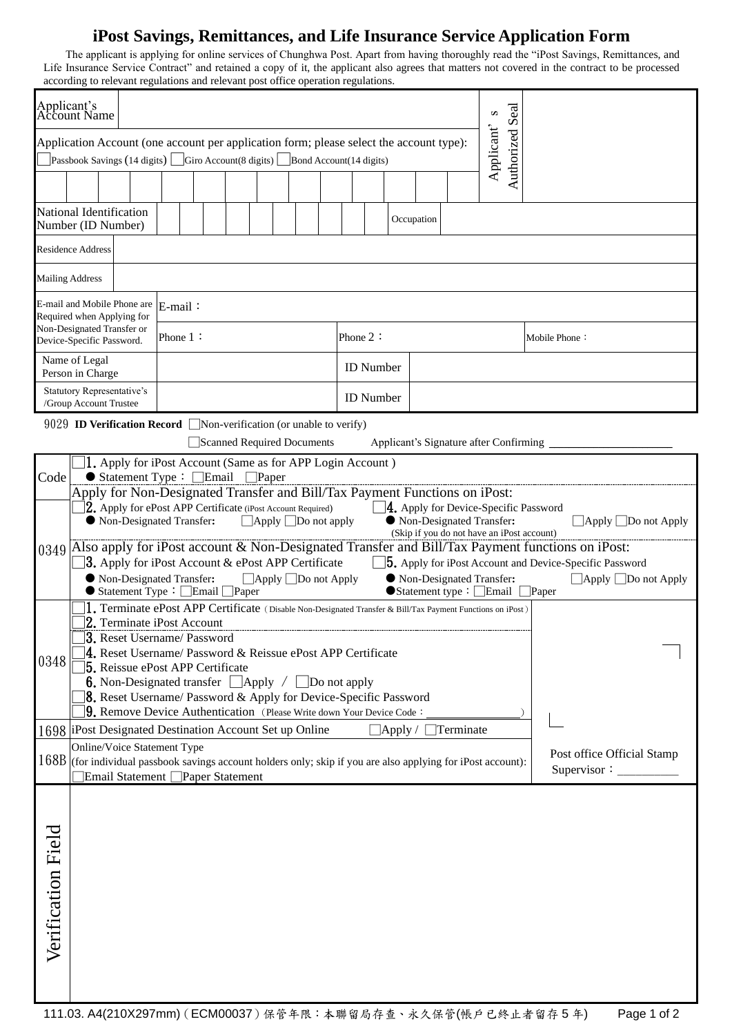## **iPost Savings, Remittances, and Life Insurance Service Application Form**

The applicant is applying for online services of Chunghwa Post. Apart from having thoroughly read the "iPost Savings, Remittances, and Life Insurance Service Contract" and retained a copy of it, the applicant also agrees that matters not covered in the contract to be processed according to relevant regulations and relevant post office operation regulations.

| Applicant's<br>Account Name<br>Seal<br>S                                                                                                                                                                           |                                                                                                                                                                                                                                                            |                                                                                                                                                                                                     |                             |         |                                                                                                   |  |          |                  |  |  |             |                  |  |  |                                  |  |                                                                                                 |  |
|--------------------------------------------------------------------------------------------------------------------------------------------------------------------------------------------------------------------|------------------------------------------------------------------------------------------------------------------------------------------------------------------------------------------------------------------------------------------------------------|-----------------------------------------------------------------------------------------------------------------------------------------------------------------------------------------------------|-----------------------------|---------|---------------------------------------------------------------------------------------------------|--|----------|------------------|--|--|-------------|------------------|--|--|----------------------------------|--|-------------------------------------------------------------------------------------------------|--|
| Applicant'<br>Authorized<br>Application Account (one account per application form; please select the account type):<br>Passbook Savings (14 digits) $\Box$ Giro Account (8 digits) $\Box$ Bond Account (14 digits) |                                                                                                                                                                                                                                                            |                                                                                                                                                                                                     |                             |         |                                                                                                   |  |          |                  |  |  |             |                  |  |  |                                  |  |                                                                                                 |  |
|                                                                                                                                                                                                                    |                                                                                                                                                                                                                                                            |                                                                                                                                                                                                     |                             |         |                                                                                                   |  |          |                  |  |  |             |                  |  |  |                                  |  |                                                                                                 |  |
|                                                                                                                                                                                                                    |                                                                                                                                                                                                                                                            |                                                                                                                                                                                                     |                             |         |                                                                                                   |  |          |                  |  |  |             |                  |  |  |                                  |  |                                                                                                 |  |
| National Identification<br>Occupation<br>Number (ID Number)                                                                                                                                                        |                                                                                                                                                                                                                                                            |                                                                                                                                                                                                     |                             |         |                                                                                                   |  |          |                  |  |  |             |                  |  |  |                                  |  |                                                                                                 |  |
| <b>Residence Address</b>                                                                                                                                                                                           |                                                                                                                                                                                                                                                            |                                                                                                                                                                                                     |                             |         |                                                                                                   |  |          |                  |  |  |             |                  |  |  |                                  |  |                                                                                                 |  |
| <b>Mailing Address</b>                                                                                                                                                                                             |                                                                                                                                                                                                                                                            |                                                                                                                                                                                                     |                             |         |                                                                                                   |  |          |                  |  |  |             |                  |  |  |                                  |  |                                                                                                 |  |
| E-mail and Mobile Phone are<br>Required when Applying for                                                                                                                                                          |                                                                                                                                                                                                                                                            |                                                                                                                                                                                                     |                             | E-mail: |                                                                                                   |  |          |                  |  |  |             |                  |  |  |                                  |  |                                                                                                 |  |
| Non-Designated Transfer or<br>Device-Specific Password.                                                                                                                                                            |                                                                                                                                                                                                                                                            |                                                                                                                                                                                                     | Phone $1$ :                 |         |                                                                                                   |  | Phone 2: |                  |  |  |             | Mobile Phone:    |  |  |                                  |  |                                                                                                 |  |
| Name of Legal<br>Person in Charge                                                                                                                                                                                  |                                                                                                                                                                                                                                                            |                                                                                                                                                                                                     |                             |         |                                                                                                   |  |          | <b>ID</b> Number |  |  |             |                  |  |  |                                  |  |                                                                                                 |  |
| Statutory Representative's                                                                                                                                                                                         |                                                                                                                                                                                                                                                            | /Group Account Trustee                                                                                                                                                                              |                             |         |                                                                                                   |  |          |                  |  |  |             | <b>ID</b> Number |  |  |                                  |  |                                                                                                 |  |
| 9029 <b>ID Verification Record</b> Non-verification (or unable to verify)                                                                                                                                          |                                                                                                                                                                                                                                                            |                                                                                                                                                                                                     |                             |         |                                                                                                   |  |          |                  |  |  |             |                  |  |  |                                  |  |                                                                                                 |  |
| Applicant's Signature after Confirming<br>Scanned Required Documents                                                                                                                                               |                                                                                                                                                                                                                                                            |                                                                                                                                                                                                     |                             |         |                                                                                                   |  |          |                  |  |  |             |                  |  |  |                                  |  |                                                                                                 |  |
| 1. Apply for iPost Account (Same as for APP Login Account)<br>$\bullet$ Statement Type : $\Box$ Email $\Box$ Paper<br>Code                                                                                         |                                                                                                                                                                                                                                                            |                                                                                                                                                                                                     |                             |         |                                                                                                   |  |          |                  |  |  |             |                  |  |  |                                  |  |                                                                                                 |  |
|                                                                                                                                                                                                                    |                                                                                                                                                                                                                                                            |                                                                                                                                                                                                     |                             |         | Apply for Non-Designated Transfer and Bill/Tax Payment Functions on iPost:                        |  |          |                  |  |  |             |                  |  |  |                                  |  |                                                                                                 |  |
| 0349                                                                                                                                                                                                               | $[2,$ Apply for ePost APP Certificate (iPost Account Required)<br>$\Box$ 4. Apply for Device-Specific Password<br>Non-Designated Transfer:<br>$\Box$ Apply $\Box$ Do not apply<br>● Non-Designated Transfer:<br>(Skip if you do not have an iPost account) |                                                                                                                                                                                                     |                             |         |                                                                                                   |  |          |                  |  |  |             |                  |  |  | $\Box$ Apply $\Box$ Do not Apply |  |                                                                                                 |  |
|                                                                                                                                                                                                                    |                                                                                                                                                                                                                                                            |                                                                                                                                                                                                     |                             |         |                                                                                                   |  |          |                  |  |  |             |                  |  |  |                                  |  | Also apply for iPost account & Non-Designated Transfer and Bill/Tax Payment functions on iPost: |  |
|                                                                                                                                                                                                                    | <b>3.</b> Apply for iPost Account $\&$ ePost APP Certificate<br><b>5.</b> Apply for iPost Account and Device-Specific Password<br>● Non-Designated Transfer:<br>● Non-Designated Transfer:<br>$\Box$ Apply $\Box$ Do not Apply                             |                                                                                                                                                                                                     |                             |         |                                                                                                   |  |          |                  |  |  |             |                  |  |  | $\Box$ Apply $\Box$ Do not Apply |  |                                                                                                 |  |
|                                                                                                                                                                                                                    |                                                                                                                                                                                                                                                            | ● Statement Type: □Email □Paper<br>$\bullet$ Statement type: $\square$ Email<br>Paper<br>1. Terminate ePost APP Certificate (Disable Non-Designated Transfer & Bill/Tax Payment Functions on iPost) |                             |         |                                                                                                   |  |          |                  |  |  |             |                  |  |  |                                  |  |                                                                                                 |  |
| 0348                                                                                                                                                                                                               |                                                                                                                                                                                                                                                            |                                                                                                                                                                                                     |                             |         | 2. Terminate iPost Account                                                                        |  |          |                  |  |  |             |                  |  |  |                                  |  |                                                                                                 |  |
|                                                                                                                                                                                                                    |                                                                                                                                                                                                                                                            | 3. Reset Username/ Password<br>$4.$ Reset Username/ Password & Reissue ePost APP Certificate                                                                                                        |                             |         |                                                                                                   |  |          |                  |  |  |             |                  |  |  |                                  |  |                                                                                                 |  |
|                                                                                                                                                                                                                    |                                                                                                                                                                                                                                                            |                                                                                                                                                                                                     |                             |         | <b>5.</b> Reissue ePost APP Certificate<br><b>6.</b> Non-Designated transfer Apply / Do not apply |  |          |                  |  |  |             |                  |  |  |                                  |  |                                                                                                 |  |
|                                                                                                                                                                                                                    |                                                                                                                                                                                                                                                            |                                                                                                                                                                                                     |                             |         | <b>8.</b> Reset Username/ Password & Apply for Device-Specific Password                           |  |          |                  |  |  |             |                  |  |  |                                  |  |                                                                                                 |  |
|                                                                                                                                                                                                                    |                                                                                                                                                                                                                                                            | 9. Remove Device Authentication (Please Write down Your Device Code:<br>1698   iPost Designated Destination Account Set up Online<br>$\exists$ Apply / $\vert$<br>$\Box$ Terminate                  |                             |         |                                                                                                   |  |          |                  |  |  |             |                  |  |  |                                  |  |                                                                                                 |  |
|                                                                                                                                                                                                                    |                                                                                                                                                                                                                                                            |                                                                                                                                                                                                     | Online/Voice Statement Type |         |                                                                                                   |  |          |                  |  |  |             |                  |  |  |                                  |  | Post office Official Stamp                                                                      |  |
|                                                                                                                                                                                                                    | 168B (for individual passbook savings account holders only; skip if you are also applying for iPost account):<br>Email Statement <sup>Paper</sup> Statement                                                                                                |                                                                                                                                                                                                     |                             |         |                                                                                                   |  |          |                  |  |  | Supervisor: |                  |  |  |                                  |  |                                                                                                 |  |
|                                                                                                                                                                                                                    |                                                                                                                                                                                                                                                            |                                                                                                                                                                                                     |                             |         |                                                                                                   |  |          |                  |  |  |             |                  |  |  |                                  |  |                                                                                                 |  |
|                                                                                                                                                                                                                    |                                                                                                                                                                                                                                                            |                                                                                                                                                                                                     |                             |         |                                                                                                   |  |          |                  |  |  |             |                  |  |  |                                  |  |                                                                                                 |  |
| Verification Field                                                                                                                                                                                                 |                                                                                                                                                                                                                                                            |                                                                                                                                                                                                     |                             |         |                                                                                                   |  |          |                  |  |  |             |                  |  |  |                                  |  |                                                                                                 |  |
|                                                                                                                                                                                                                    |                                                                                                                                                                                                                                                            |                                                                                                                                                                                                     |                             |         |                                                                                                   |  |          |                  |  |  |             |                  |  |  |                                  |  |                                                                                                 |  |
|                                                                                                                                                                                                                    |                                                                                                                                                                                                                                                            |                                                                                                                                                                                                     |                             |         |                                                                                                   |  |          |                  |  |  |             |                  |  |  |                                  |  |                                                                                                 |  |
|                                                                                                                                                                                                                    |                                                                                                                                                                                                                                                            |                                                                                                                                                                                                     |                             |         |                                                                                                   |  |          |                  |  |  |             |                  |  |  |                                  |  |                                                                                                 |  |
|                                                                                                                                                                                                                    |                                                                                                                                                                                                                                                            |                                                                                                                                                                                                     |                             |         |                                                                                                   |  |          |                  |  |  |             |                  |  |  |                                  |  |                                                                                                 |  |
|                                                                                                                                                                                                                    |                                                                                                                                                                                                                                                            |                                                                                                                                                                                                     |                             |         |                                                                                                   |  |          |                  |  |  |             |                  |  |  |                                  |  |                                                                                                 |  |
|                                                                                                                                                                                                                    |                                                                                                                                                                                                                                                            |                                                                                                                                                                                                     |                             |         |                                                                                                   |  |          |                  |  |  |             |                  |  |  |                                  |  |                                                                                                 |  |